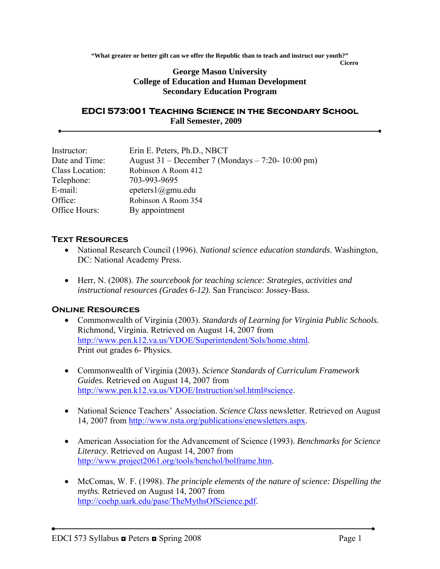**"What greater or better gift can we offer the Republic than to teach and instruct our youth?"** 

#### *Cicero* **George Mason University College of Education and Human Development Secondary Education Program**

#### **EDCI 573:001 Teaching Science in the Secondary School Fall Semester, 2009**

| Instructor:     | Erin E. Peters, Ph.D., NBCT                       |
|-----------------|---------------------------------------------------|
| Date and Time:  | August 31 – December 7 (Mondays – 7:20- 10:00 pm) |
| Class Location: | Robinson A Room 412                               |
| Telephone:      | 703-993-9695                                      |
| E-mail:         | epeters $l$ @gmu.edu                              |
| Office:         | Robinson A Room 354                               |
| Office Hours:   | By appointment                                    |

### **Text Resources**

- National Research Council (1996). *National science education standards*. Washington, DC: National Academy Press.
- Herr, N. (2008). *The sourcebook for teaching science: Strategies, activities and instructional resources (Grades 6-12).* San Francisco: Jossey-Bass.

## **Online Resources**

- Commonwealth of Virginia (2003). *Standards of Learning for Virginia Public Schools.* Richmond, Virginia. Retrieved on August 14, 2007 from <http://www.pen.k12.va.us/VDOE/Superintendent/Sols/home.shtml>. Print out grades 6- Physics.
- Commonwealth of Virginia (2003). *Science Standards of Curriculum Framework Guides.* Retrieved on August 14, 2007 from [http://www.pen.k12.va.us/VDOE/Instruction/sol.html#science.](http://www.pen.k12.va.us/VDOE/Instruction/sol.html#science)
- National Science Teachers' Association. *Science Class* newsletter. Retrieved on August 14, 2007 from [http://www.nsta.org/publications/enewsletters.aspx.](http://www.nsta.org/publications/enewsletters.aspx)
- American Association for the Advancement of Science (1993). *Benchmarks for Science Literacy*. Retrieved on August 14, 2007 from <http://www.project2061.org/tools/benchol/bolframe.htm>.
- McComas, W. F. (1998). *The principle elements of the nature of science: Dispelling the myths.* Retrieved on August 14, 2007 from <http://coehp.uark.edu/pase/TheMythsOfScience.pdf>.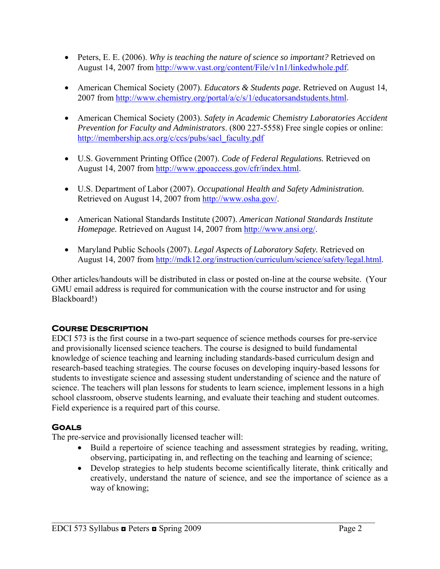- Peters, E. E. (2006). *Why is teaching the nature of science so important?* Retrieved on August 14, 2007 from [http://www.vast.org/content/File/v1n1/linkedwhole.pdf.](http://www.vast.org/content/File/v1n1/linkedwhole.pdf)
- American Chemical Society (2007). *Educators & Students page.* Retrieved on August 14, 2007 from<http://www.chemistry.org/portal/a/c/s/1/educatorsandstudents.html>.
- American Chemical Society (2003). *Safety in Academic Chemistry Laboratories Accident Prevention for Faculty and Administrators*. (800 227-5558) Free single copies or online: [http://membership.acs.org/c/ccs/pubs/sacl\\_faculty.pdf](http://membership.acs.org/c/ccs/pubs/sacl_faculty.pdf)
- U.S. Government Printing Office (2007). *Code of Federal Regulations.* Retrieved on August 14, 2007 from [http://www.gpoaccess.gov/cfr/index.html.](http://www.gpoaccess.gov/cfr/index.html)
- U.S. Department of Labor (2007). *Occupational Health and Safety Administration.*  Retrieved on August 14, 2007 from [http://www.osha.gov/.](http://www.osha.gov/)
- American National Standards Institute (2007). *American National Standards Institute Homepage.* Retrieved on August 14, 2007 from [http://www.ansi.org/.](http://www.ansi.org/)
- Maryland Public Schools (2007). *Legal Aspects of Laboratory Safety.* Retrieved on August 14, 2007 from [http://mdk12.org/instruction/curriculum/science/safety/legal.html.](http://mdk12.org/instruction/curriculum/science/safety/legal.html)

Other articles/handouts will be distributed in class or posted on-line at the course website. (Your GMU email address is required for communication with the course instructor and for using Blackboard!)

# **Course Description**

EDCI 573 is the first course in a two-part sequence of science methods courses for pre-service and provisionally licensed science teachers. The course is designed to build fundamental knowledge of science teaching and learning including standards-based curriculum design and research-based teaching strategies. The course focuses on developing inquiry-based lessons for students to investigate science and assessing student understanding of science and the nature of science. The teachers will plan lessons for students to learn science, implement lessons in a high school classroom, observe students learning, and evaluate their teaching and student outcomes. Field experience is a required part of this course.

# **Goals**

The pre-service and provisionally licensed teacher will:

- Build a repertoire of science teaching and assessment strategies by reading, writing, observing, participating in, and reflecting on the teaching and learning of science;
- Develop strategies to help students become scientifically literate, think critically and creatively, understand the nature of science, and see the importance of science as a way of knowing;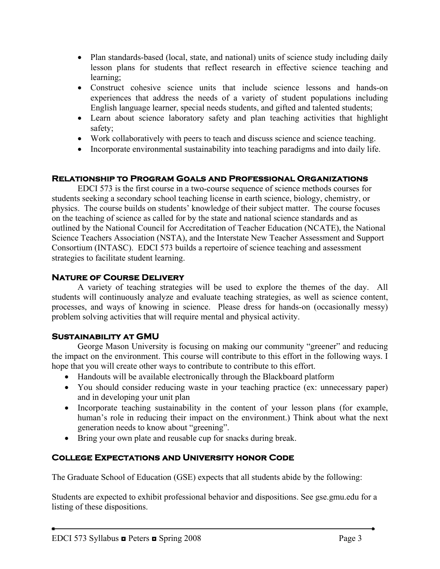- Plan standards-based (local, state, and national) units of science study including daily lesson plans for students that reflect research in effective science teaching and learning;
- Construct cohesive science units that include science lessons and hands-on experiences that address the needs of a variety of student populations including English language learner, special needs students, and gifted and talented students;
- Learn about science laboratory safety and plan teaching activities that highlight safety;
- Work collaboratively with peers to teach and discuss science and science teaching.
- Incorporate environmental sustainability into teaching paradigms and into daily life.

#### **Relationship to Program Goals and Professional Organizations**

EDCI 573 is the first course in a two-course sequence of science methods courses for students seeking a secondary school teaching license in earth science, biology, chemistry, or physics. The course builds on students' knowledge of their subject matter. The course focuses on the teaching of science as called for by the state and national science standards and as outlined by the National Council for Accreditation of Teacher Education (NCATE), the National Science Teachers Association (NSTA), and the Interstate New Teacher Assessment and Support Consortium (INTASC). EDCI 573 builds a repertoire of science teaching and assessment strategies to facilitate student learning.

### **Nature of Course Delivery**

 A variety of teaching strategies will be used to explore the themes of the day. All students will continuously analyze and evaluate teaching strategies, as well as science content, processes, and ways of knowing in science. Please dress for hands-on (occasionally messy) problem solving activities that will require mental and physical activity.

#### **Sustainability at GMU**

 George Mason University is focusing on making our community "greener" and reducing the impact on the environment. This course will contribute to this effort in the following ways. I hope that you will create other ways to contribute to contribute to this effort.

- Handouts will be available electronically through the Blackboard platform
- You should consider reducing waste in your teaching practice (ex: unnecessary paper) and in developing your unit plan
- Incorporate teaching sustainability in the content of your lesson plans (for example, human's role in reducing their impact on the environment.) Think about what the next generation needs to know about "greening".
- Bring your own plate and reusable cup for snacks during break.

## **College Expectations and University honor Code**

The Graduate School of Education (GSE) expects that all students abide by the following:

Students are expected to exhibit professional behavior and dispositions. See gse.gmu.edu for a listing of these dispositions.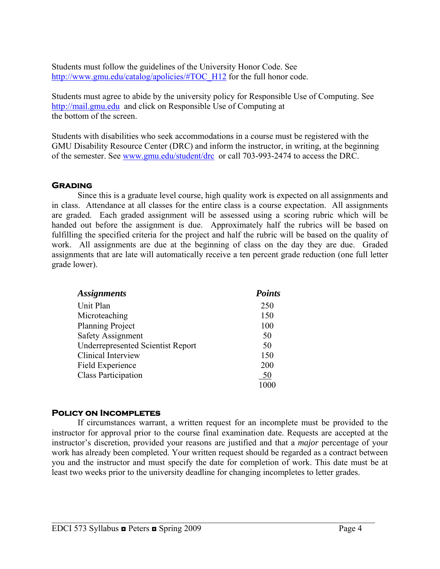Students must follow the guidelines of the University Honor Code. See [http://www.gmu.edu/catalog/apolicies/#TOC\\_H12](http://www.gmu.edu/catalog/apolicies/#TOC_H12) for the full honor code.

Students must agree to abide by the university policy for Responsible Use of Computing. See [http://mail.gmu.edu](http://mail.gmu.edu/) and click on Responsible Use of Computing at the bottom of the screen.

Students with disabilities who seek accommodations in a course must be registered with the GMU Disability Resource Center (DRC) and inform the instructor, in writing, at the beginning of the semester. See [www.gmu.edu/student/drc](http://www.gmu.edu/student/drc) or call 703-993-2474 to access the DRC.

## **Grading**

 Since this is a graduate level course, high quality work is expected on all assignments and in class. Attendance at all classes for the entire class is a course expectation. All assignments are graded. Each graded assignment will be assessed using a scoring rubric which will be handed out before the assignment is due. Approximately half the rubrics will be based on fulfilling the specified criteria for the project and half the rubric will be based on the quality of work. All assignments are due at the beginning of class on the day they are due. Graded assignments that are late will automatically receive a ten percent grade reduction (one full letter grade lower).

| <b>Assignments</b>                       | <b>Points</b> |
|------------------------------------------|---------------|
| Unit Plan                                | 250           |
| Microteaching                            | 150           |
| <b>Planning Project</b>                  | 100           |
| <b>Safety Assignment</b>                 | 50            |
| <b>Underrepresented Scientist Report</b> | 50            |
| Clinical Interview                       | 150           |
| Field Experience                         | 200           |
| <b>Class Participation</b>               | 50            |
|                                          |               |

## **Policy on Incompletes**

If circumstances warrant, a written request for an incomplete must be provided to the instructor for approval prior to the course final examination date. Requests are accepted at the instructor's discretion, provided your reasons are justified and that a *major* percentage of your work has already been completed. Your written request should be regarded as a contract between you and the instructor and must specify the date for completion of work. This date must be at least two weeks prior to the university deadline for changing incompletes to letter grades.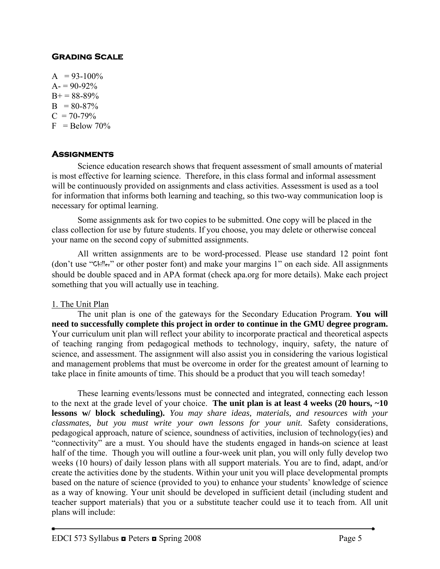# **Grading Scale**

 $A = 93-100\%$  $A = 90-92%$  $B+= 88-89\%$  $B = 80-87\%$  $C = 70-79\%$  $F =$ Below 70%

### **Assignments**

 Science education research shows that frequent assessment of small amounts of material is most effective for learning science. Therefore, in this class formal and informal assessment will be continuously provided on assignments and class activities. Assessment is used as a tool for information that informs both learning and teaching, so this two-way communication loop is necessary for optimal learning.

 Some assignments ask for two copies to be submitted. One copy will be placed in the class collection for use by future students. If you choose, you may delete or otherwise conceal your name on the second copy of submitted assignments.

 All written assignments are to be word-processed. Please use standard 12 point font (don't use "Chiller" or other poster font) and make your margins 1" on each side. All assignments should be double spaced and in APA format (check apa.org for more details). Make each project something that you will actually use in teaching.

#### 1. The Unit Plan

The unit plan is one of the gateways for the Secondary Education Program. **You will need to successfully complete this project in order to continue in the GMU degree program.** Your curriculum unit plan will reflect your ability to incorporate practical and theoretical aspects of teaching ranging from pedagogical methods to technology, inquiry, safety, the nature of science, and assessment. The assignment will also assist you in considering the various logistical and management problems that must be overcome in order for the greatest amount of learning to take place in finite amounts of time. This should be a product that you will teach someday!

These learning events/lessons must be connected and integrated, connecting each lesson to the next at the grade level of your choice. **The unit plan is at least 4 weeks (20 hours, ~10 lessons w/ block scheduling).** *You may share ideas, materials, and resources with your classmates, but you must write your own lessons for your unit.* Safety considerations, pedagogical approach, nature of science, soundness of activities, inclusion of technology(ies) and "connectivity" are a must. You should have the students engaged in hands-on science at least half of the time. Though you will outline a four-week unit plan, you will only fully develop two weeks (10 hours) of daily lesson plans with all support materials. You are to find, adapt, and/or create the activities done by the students. Within your unit you will place developmental prompts based on the nature of science (provided to you) to enhance your students' knowledge of science as a way of knowing. Your unit should be developed in sufficient detail (including student and teacher support materials) that you or a substitute teacher could use it to teach from. All unit plans will include: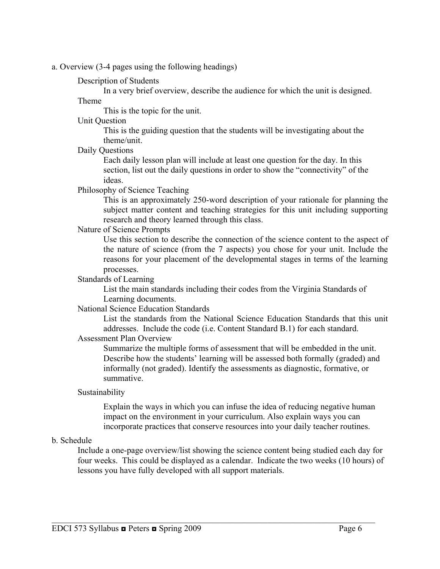a. Overview (3-4 pages using the following headings)

#### Description of Students

In a very brief overview, describe the audience for which the unit is designed.

#### Theme

This is the topic for the unit.

### Unit Question

This is the guiding question that the students will be investigating about the theme/unit.

Daily Questions

 Each daily lesson plan will include at least one question for the day. In this section, list out the daily questions in order to show the "connectivity" of the ideas.

#### Philosophy of Science Teaching

This is an approximately 250-word description of your rationale for planning the subject matter content and teaching strategies for this unit including supporting research and theory learned through this class.

#### Nature of Science Prompts

Use this section to describe the connection of the science content to the aspect of the nature of science (from the 7 aspects) you chose for your unit. Include the reasons for your placement of the developmental stages in terms of the learning processes.

#### Standards of Learning

 List the main standards including their codes from the Virginia Standards of Learning documents.

#### National Science Education Standards

List the standards from the National Science Education Standards that this unit addresses. Include the code (i.e. Content Standard B.1) for each standard.

### Assessment Plan Overview

Summarize the multiple forms of assessment that will be embedded in the unit. Describe how the students' learning will be assessed both formally (graded) and informally (not graded). Identify the assessments as diagnostic, formative, or summative.

#### Sustainability

Explain the ways in which you can infuse the idea of reducing negative human impact on the environment in your curriculum. Also explain ways you can incorporate practices that conserve resources into your daily teacher routines.

#### b. Schedule

Include a one-page overview/list showing the science content being studied each day for four weeks. This could be displayed as a calendar. Indicate the two weeks (10 hours) of lessons you have fully developed with all support materials.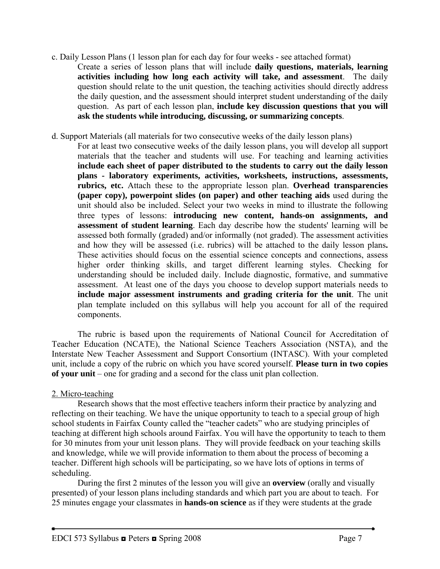- c. Daily Lesson Plans (1 lesson plan for each day for four weeks see attached format) Create a series of lesson plans that will include **daily questions, materials, learning activities including how long each activity will take, and assessment**. The daily question should relate to the unit question, the teaching activities should directly address the daily question, and the assessment should interpret student understanding of the daily question. As part of each lesson plan, **include key discussion questions that you will ask the students while introducing, discussing, or summarizing concepts**.
- d. Support Materials (all materials for two consecutive weeks of the daily lesson plans)
	- For at least two consecutive weeks of the daily lesson plans, you will develop all support materials that the teacher and students will use. For teaching and learning activities **include each sheet of paper distributed to the students to carry out the daily lesson plans - laboratory experiments, activities, worksheets, instructions, assessments, rubrics, etc.** Attach these to the appropriate lesson plan. **Overhead transparencies (paper copy), powerpoint slides (on paper) and other teaching aids** used during the unit should also be included. Select your two weeks in mind to illustrate the following three types of lessons: **introducing new content, hands-on assignments, and assessment of student learning**. Each day describe how the students' learning will be assessed both formally (graded) and/or informally (not graded). The assessment activities and how they will be assessed (i.e. rubrics) will be attached to the daily lesson plans**.**  These activities should focus on the essential science concepts and connections, assess higher order thinking skills, and target different learning styles. Checking for understanding should be included daily. Include diagnostic, formative, and summative assessment. At least one of the days you choose to develop support materials needs to **include major assessment instruments and grading criteria for the unit**. The unit plan template included on this syllabus will help you account for all of the required components.

The rubric is based upon the requirements of National Council for Accreditation of Teacher Education (NCATE), the National Science Teachers Association (NSTA), and the Interstate New Teacher Assessment and Support Consortium (INTASC). With your completed unit, include a copy of the rubric on which you have scored yourself. **Please turn in two copies of your unit** – one for grading and a second for the class unit plan collection.

#### 2. Micro-teaching

 Research shows that the most effective teachers inform their practice by analyzing and reflecting on their teaching. We have the unique opportunity to teach to a special group of high school students in Fairfax County called the "teacher cadets" who are studying principles of teaching at different high schools around Fairfax. You will have the opportunity to teach to them for 30 minutes from your unit lesson plans. They will provide feedback on your teaching skills and knowledge, while we will provide information to them about the process of becoming a teacher. Different high schools will be participating, so we have lots of options in terms of scheduling.

During the first 2 minutes of the lesson you will give an **overview** (orally and visually presented) of your lesson plans including standards and which part you are about to teach. For 25 minutes engage your classmates in **hands-on science** as if they were students at the grade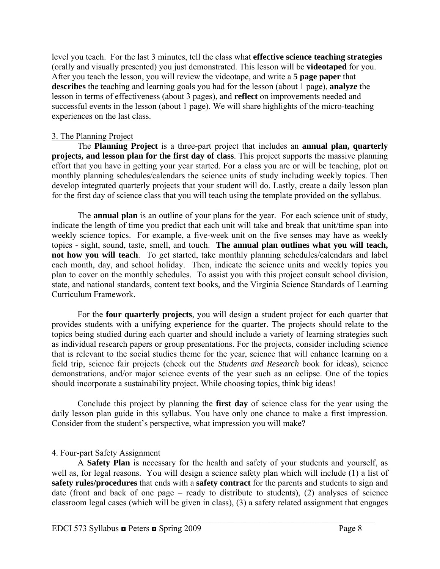level you teach. For the last 3 minutes, tell the class what **effective science teaching strategies**  (orally and visually presented) you just demonstrated. This lesson will be **videotaped** for you. After you teach the lesson, you will review the videotape, and write a **5 page paper** that **describes** the teaching and learning goals you had for the lesson (about 1 page), **analyze** the lesson in terms of effectiveness (about 3 pages), and **reflect** on improvements needed and successful events in the lesson (about 1 page). We will share highlights of the micro-teaching experiences on the last class.

#### 3. The Planning Project

 The **Planning Project** is a three-part project that includes an **annual plan, quarterly projects, and lesson plan for the first day of class**. This project supports the massive planning effort that you have in getting your year started. For a class you are or will be teaching, plot on monthly planning schedules/calendars the science units of study including weekly topics. Then develop integrated quarterly projects that your student will do. Lastly, create a daily lesson plan for the first day of science class that you will teach using the template provided on the syllabus.

The **annual plan** is an outline of your plans for the year. For each science unit of study, indicate the length of time you predict that each unit will take and break that unit/time span into weekly science topics. For example, a five-week unit on the five senses may have as weekly topics - sight, sound, taste, smell, and touch. **The annual plan outlines what you will teach, not how you will teach**. To get started, take monthly planning schedules/calendars and label each month, day, and school holiday. Then, indicate the science units and weekly topics you plan to cover on the monthly schedules. To assist you with this project consult school division, state, and national standards, content text books, and the Virginia Science Standards of Learning Curriculum Framework.

For the **four quarterly projects**, you will design a student project for each quarter that provides students with a unifying experience for the quarter. The projects should relate to the topics being studied during each quarter and should include a variety of learning strategies such as individual research papers or group presentations. For the projects, consider including science that is relevant to the social studies theme for the year, science that will enhance learning on a field trip, science fair projects (check out the *Students and Research* book for ideas), science demonstrations, and/or major science events of the year such as an eclipse. One of the topics should incorporate a sustainability project. While choosing topics, think big ideas!

Conclude this project by planning the **first day** of science class for the year using the daily lesson plan guide in this syllabus. You have only one chance to make a first impression. Consider from the student's perspective, what impression you will make?

#### 4. Four-part Safety Assignment

A **Safety Plan** is necessary for the health and safety of your students and yourself, as well as, for legal reasons. You will design a science safety plan which will include (1) a list of **safety rules/procedures** that ends with a **safety contract** for the parents and students to sign and date (front and back of one page – ready to distribute to students), (2) analyses of science classroom legal cases (which will be given in class), (3) a safety related assignment that engages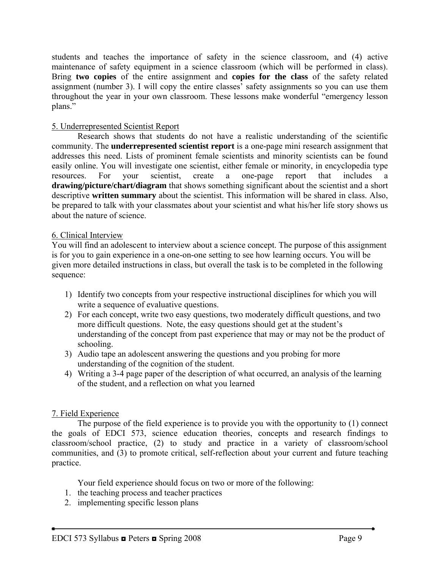students and teaches the importance of safety in the science classroom, and (4) active maintenance of safety equipment in a science classroom (which will be performed in class). Bring **two copies** of the entire assignment and **copies for the class** of the safety related assignment (number 3). I will copy the entire classes' safety assignments so you can use them throughout the year in your own classroom. These lessons make wonderful "emergency lesson plans."

### 5. Underrepresented Scientist Report

 Research shows that students do not have a realistic understanding of the scientific community. The **underrepresented scientist report** is a one-page mini research assignment that addresses this need. Lists of prominent female scientists and minority scientists can be found easily online. You will investigate one scientist, either female or minority, in encyclopedia type resources. For your scientist, create a one-page report that includes a **drawing/picture/chart/diagram** that shows something significant about the scientist and a short descriptive **written summary** about the scientist. This information will be shared in class. Also, be prepared to talk with your classmates about your scientist and what his/her life story shows us about the nature of science.

#### 6. Clinical Interview

You will find an adolescent to interview about a science concept. The purpose of this assignment is for you to gain experience in a one-on-one setting to see how learning occurs. You will be given more detailed instructions in class, but overall the task is to be completed in the following sequence:

- 1) Identify two concepts from your respective instructional disciplines for which you will write a sequence of evaluative questions.
- 2) For each concept, write two easy questions, two moderately difficult questions, and two more difficult questions. Note, the easy questions should get at the student's understanding of the concept from past experience that may or may not be the product of schooling.
- 3) Audio tape an adolescent answering the questions and you probing for more understanding of the cognition of the student.
- 4) Writing a 3-4 page paper of the description of what occurred, an analysis of the learning of the student, and a reflection on what you learned

## 7. Field Experience

 The purpose of the field experience is to provide you with the opportunity to (1) connect the goals of EDCI 573, science education theories, concepts and research findings to classroom/school practice, (2) to study and practice in a variety of classroom/school communities, and (3) to promote critical, self-reflection about your current and future teaching practice.

Your field experience should focus on two or more of the following:

- 1. the teaching process and teacher practices
- 2. implementing specific lesson plans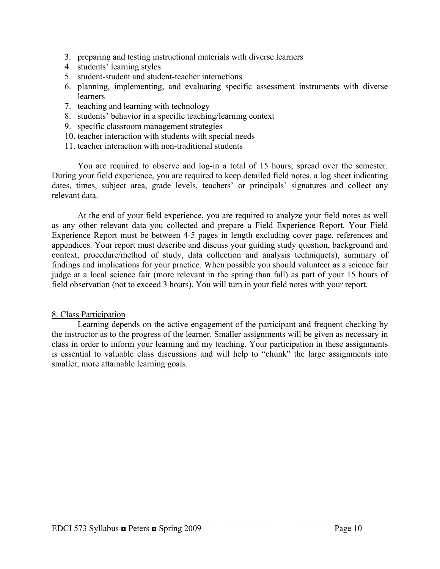- 3. preparing and testing instructional materials with diverse learners
- 4. students' learning styles
- 5. student-student and student-teacher interactions
- 6. planning, implementing, and evaluating specific assessment instruments with diverse learners
- 7. teaching and learning with technology
- 8. students' behavior in a specific teaching/learning context
- 9. specific classroom management strategies
- 10. teacher interaction with students with special needs
- 11. teacher interaction with non-traditional students

 You are required to observe and log-in a total of 15 hours, spread over the semester. During your field experience, you are required to keep detailed field notes, a log sheet indicating dates, times, subject area, grade levels, teachers' or principals' signatures and collect any relevant data.

 At the end of your field experience, you are required to analyze your field notes as well as any other relevant data you collected and prepare a Field Experience Report. Your Field Experience Report must be between 4-5 pages in length excluding cover page, references and appendices. Your report must describe and discuss your guiding study question, background and context, procedure/method of study, data collection and analysis technique(s), summary of findings and implications for your practice. When possible you should volunteer as a science fair judge at a local science fair (more relevant in the spring than fall) as part of your 15 hours of field observation (not to exceed 3 hours). You will turn in your field notes with your report.

#### 8. Class Participation

 Learning depends on the active engagement of the participant and frequent checking by the instructor as to the progress of the learner. Smaller assignments will be given as necessary in class in order to inform your learning and my teaching. Your participation in these assignments is essential to valuable class discussions and will help to "chunk" the large assignments into smaller, more attainable learning goals.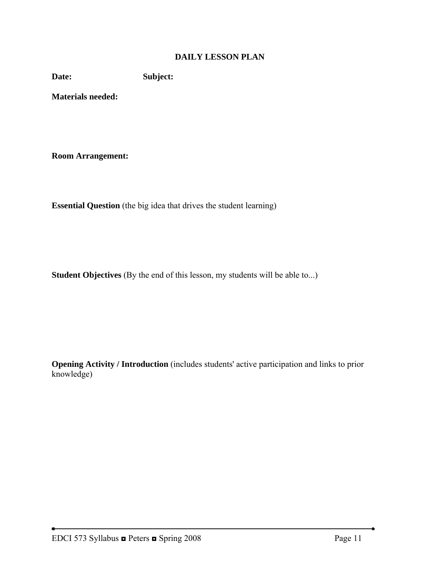# **DAILY LESSON PLAN**

**Date: Subject:** 

**Materials needed:** 

**Room Arrangement:** 

**Essential Question** (the big idea that drives the student learning)

**Student Objectives** (By the end of this lesson, my students will be able to...)

**Opening Activity / Introduction** (includes students' active participation and links to prior knowledge)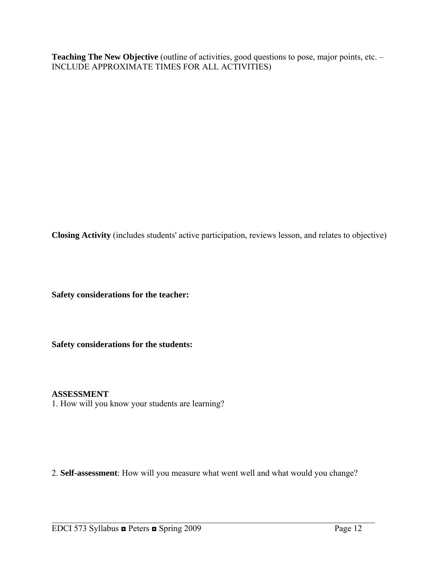Teaching The New Objective (outline of activities, good questions to pose, major points, etc. -INCLUDE APPROXIMATE TIMES FOR ALL ACTIVITIES)

**Closing Activity** (includes students' active participation, reviews lesson, and relates to objective)

**Safety considerations for the teacher:** 

**Safety considerations for the students:**

#### **ASSESSMENT**

1. How will you know your students are learning?

2. **Self-assessment**: How will you measure what went well and what would you change?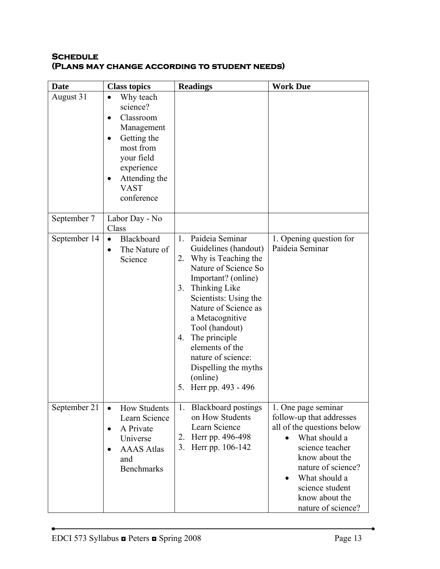### **Schedule (Plans may change according to student needs)**

| <b>Date</b>  | <b>Class topics</b>                                                                                                                                                                                        | <b>Readings</b>                                                                                                                                                                                                                                                                                                                                                        | <b>Work Due</b>                                                                                                                                                                                                                                                 |
|--------------|------------------------------------------------------------------------------------------------------------------------------------------------------------------------------------------------------------|------------------------------------------------------------------------------------------------------------------------------------------------------------------------------------------------------------------------------------------------------------------------------------------------------------------------------------------------------------------------|-----------------------------------------------------------------------------------------------------------------------------------------------------------------------------------------------------------------------------------------------------------------|
| August 31    | Why teach<br>$\bullet$<br>science?<br>Classroom<br>$\bullet$<br>Management<br>Getting the<br>$\bullet$<br>most from<br>your field<br>experience<br>Attending the<br>$\bullet$<br><b>VAST</b><br>conference |                                                                                                                                                                                                                                                                                                                                                                        |                                                                                                                                                                                                                                                                 |
| September 7  | Labor Day - No<br>Class                                                                                                                                                                                    |                                                                                                                                                                                                                                                                                                                                                                        |                                                                                                                                                                                                                                                                 |
| September 14 | Blackboard<br>$\bullet$<br>The Nature of<br>$\bullet$<br>Science                                                                                                                                           | Paideia Seminar<br>$1_{\cdot}$<br>Guidelines (handout)<br>2. Why is Teaching the<br>Nature of Science So<br>Important? (online)<br>3. Thinking Like<br>Scientists: Using the<br>Nature of Science as<br>a Metacognitive<br>Tool (handout)<br>4. The principle<br>elements of the<br>nature of science:<br>Dispelling the myths<br>(online)<br>Herr pp. 493 - 496<br>5. | 1. Opening question for<br>Paideia Seminar                                                                                                                                                                                                                      |
| September 21 | <b>How Students</b><br>$\bullet$<br>Learn Science<br>A Private<br>$\bullet$<br>Universe<br><b>AAAS</b> Atlas<br>$\bullet$<br>and<br><b>Benchmarks</b>                                                      | 1. Blackboard postings<br>on How Students<br>Learn Science<br>Herr pp. 496-498<br>2.<br>3. Herr pp. 106-142                                                                                                                                                                                                                                                            | 1. One page seminar<br>follow-up that addresses<br>all of the questions below<br>What should a<br>$\bullet$<br>science teacher<br>know about the<br>nature of science?<br>What should a<br>$\bullet$<br>science student<br>know about the<br>nature of science? |

 $\bullet$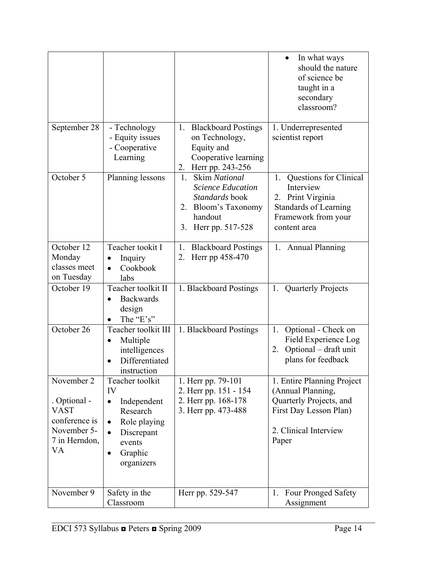|                                                                                                  |                                                                                                                                                                       |                                                                                                                                         | In what ways<br>should the nature<br>of science be<br>taught in a<br>secondary<br>classroom?                                           |
|--------------------------------------------------------------------------------------------------|-----------------------------------------------------------------------------------------------------------------------------------------------------------------------|-----------------------------------------------------------------------------------------------------------------------------------------|----------------------------------------------------------------------------------------------------------------------------------------|
| September 28                                                                                     | - Technology<br>- Equity issues<br>- Cooperative<br>Learning                                                                                                          | 1. Blackboard Postings<br>on Technology,<br>Equity and<br>Cooperative learning<br>2. Herr pp. 243-256                                   | 1. Underrepresented<br>scientist report                                                                                                |
| October 5                                                                                        | Planning lessons                                                                                                                                                      | <b>Skim National</b><br>1.<br><b>Science Education</b><br>Standards book<br>Bloom's Taxonomy<br>2.<br>handout<br>Herr pp. 517-528<br>3. | Questions for Clinical<br>1.<br>Interview<br>2. Print Virginia<br><b>Standards of Learning</b><br>Framework from your<br>content area  |
| October 12<br>Monday<br>classes meet<br>on Tuesday                                               | Teacher tookit I<br>Inquiry<br>$\bullet$<br>Cookbook<br>$\bullet$<br>labs                                                                                             | <b>Blackboard Postings</b><br>1.<br>2.<br>Herr pp 458-470                                                                               | 1. Annual Planning                                                                                                                     |
| October 19                                                                                       | Teacher toolkit II<br><b>Backwards</b><br>$\bullet$<br>design<br>The "E's"                                                                                            | 1. Blackboard Postings                                                                                                                  | 1. Quarterly Projects                                                                                                                  |
| October 26                                                                                       | Teacher toolkit III<br>Multiple<br>intelligences<br>Differentiated<br>instruction                                                                                     | 1. Blackboard Postings                                                                                                                  | 1. Optional - Check on<br>Field Experience Log<br>2. Optional – draft unit<br>plans for feedback                                       |
| November 2<br>. Optional -<br><b>VAST</b><br>conference is<br>November 5-<br>7 in Herndon,<br>VA | Teacher toolkit<br>IV<br>Independent<br>$\bullet$<br>Research<br>Role playing<br>$\bullet$<br>Discrepant<br>$\bullet$<br>events<br>Graphic<br>$\bullet$<br>organizers | 1. Herr pp. 79-101<br>2. Herr pp. 151 - 154<br>2. Herr pp. 168-178<br>3. Herr pp. 473-488                                               | 1. Entire Planning Project<br>(Annual Planning,<br>Quarterly Projects, and<br>First Day Lesson Plan)<br>2. Clinical Interview<br>Paper |
| November 9                                                                                       | Safety in the<br>Classroom                                                                                                                                            | Herr pp. 529-547                                                                                                                        | <b>Four Pronged Safety</b><br>1.<br>Assignment                                                                                         |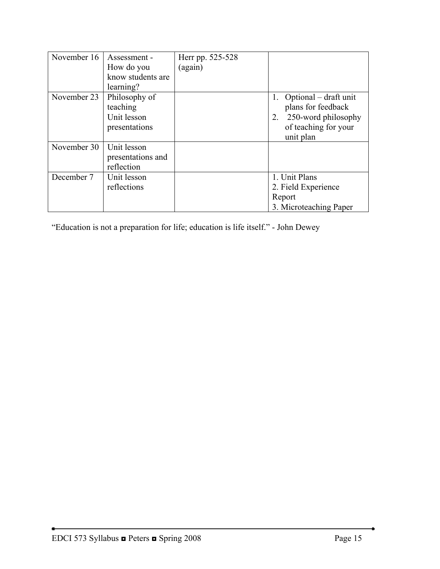| November 16 | Assessment -      | Herr pp. 525-528 |                        |
|-------------|-------------------|------------------|------------------------|
|             | How do you        | (again)          |                        |
|             | know students are |                  |                        |
|             | learning?         |                  |                        |
| November 23 | Philosophy of     |                  | Optional – draft unit  |
|             | teaching          |                  | plans for feedback     |
|             | Unit lesson       |                  | 250-word philosophy    |
|             | presentations     |                  | of teaching for your   |
|             |                   |                  | unit plan              |
| November 30 | Unit lesson       |                  |                        |
|             | presentations and |                  |                        |
|             | reflection        |                  |                        |
| December 7  | Unit lesson       |                  | 1. Unit Plans          |
|             | reflections       |                  | 2. Field Experience    |
|             |                   |                  | Report                 |
|             |                   |                  | 3. Microteaching Paper |

"Education is not a preparation for life; education is life itself." - John Dewey